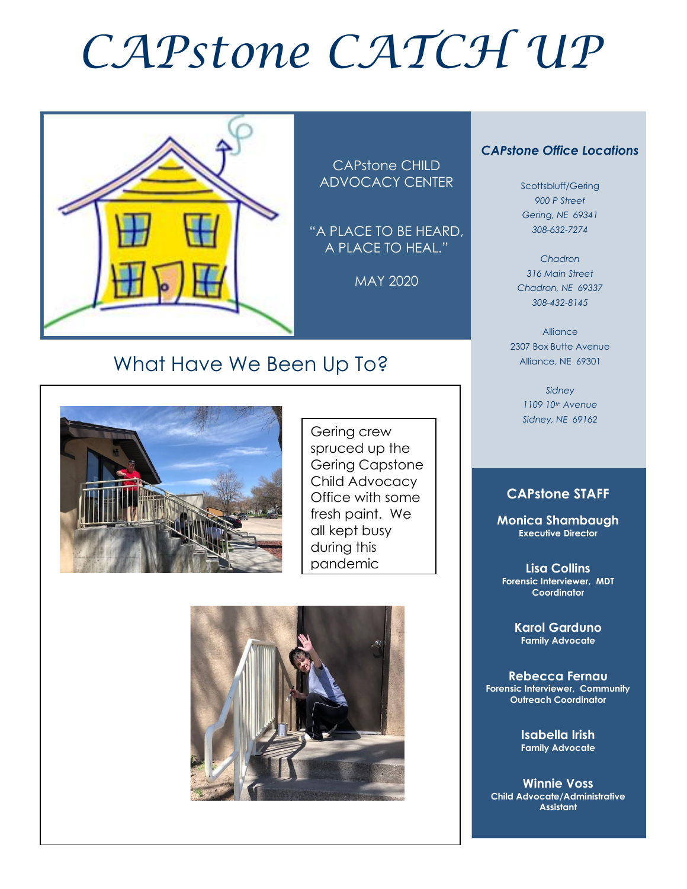# *CAPstone CATCH UP*



CAPstone CHILD ADVOCACY CENTER

"A PLACE TO BE HEARD, A PLACE TO HEAL."

MAY 2020



Scottsbluff/Gering *900 P Street Gering, NE 69341 308-632-7274*

*Chadron 316 Main Street Chadron, NE 69337 308-432-8145*

Alliance 2307 Box Butte Avenue Alliance, NE 69301

> *Sidney 1109 10th Avenue Sidney, NE 69162*

# **CAPstone STAFF**

**Monica Shambaugh Executive Director**

**Lisa Collins Forensic Interviewer, MDT Coordinator**

> **Karol Garduno Family Advocate**

**Rebecca Fernau Forensic Interviewer, Community Outreach Coordinator**

> **Isabella Irish Family Advocate**

**Winnie Voss Child Advocate/Administrative Assistant**

# What Have We Been Up To?



 $\overline{a}$ 

Gering crew spruced up the Gering Capstone Child Advocacy Office with some fresh paint. We all kept busy during this pandemic

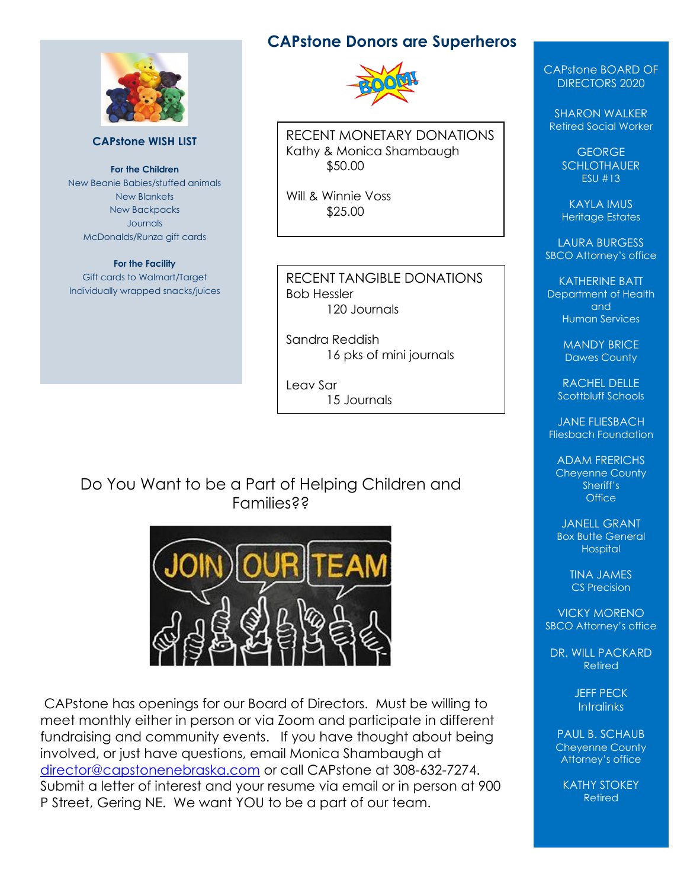

#### **CAPstone WISH LIST**

**For the Children** New Beanie Babies/stuffed animals New Blankets New Backpacks Journals McDonalds/Runza gift cards

#### **For the Facility**

Gift cards to Walmart/Target Individually wrapped snacks/juices

# **CAPstone Donors are Superheros**



RECENT MONETARY DONATIONS Kathy & Monica Shambaugh \$50.00

Will & Winnie Voss \$25.00

#### RECENT TANGIBLE DONATIONS Bob Hessler 120 Journals

Sandra Reddish 16 pks of mini journals

Leav Sar 15 Journals

# Do You Want to be a Part of Helping Children and Families??



CAPstone has openings for our Board of Directors. Must be willing to meet monthly either in person or via Zoom and participate in different fundraising and community events. If you have thought about being involved, or just have questions, email Monica Shambaugh at [director@capstonenebraska.com](mailto:director@capstonenebraska.com) or call CAPstone at 308-632-7274. Submit a letter of interest and your resume via email or in person at 900 P Street, Gering NE. We want YOU to be a part of our team.

CAPstone BOARD OF DIRECTORS 2020

SHARON WALKER Retired Social Worker

> **GEORGE SCHLOTHAUER** ESU #13

KAYLA IMUS Heritage Estates

LAURA BURGESS SBCO Attorney's office

KATHERINE BATT Department of Health and Human Services

> MANDY BRICE Dawes County

RACHEL DELLE Scottbluff Schools

JANE FLIESBACH Fliesbach Foundation

ADAM FRERICHS Cheyenne County Sheriff's **Office** 

JANELL GRANT Box Butte General Hospital

> TINA JAMES CS Precision

VICKY MORENO SBCO Attorney's office

DR. WILL PACKARD Retired

> JEFF PECK **Intralinks**

PAUL B. SCHAUB Cheyenne County Attorney's office

KATHY STOKEY Retired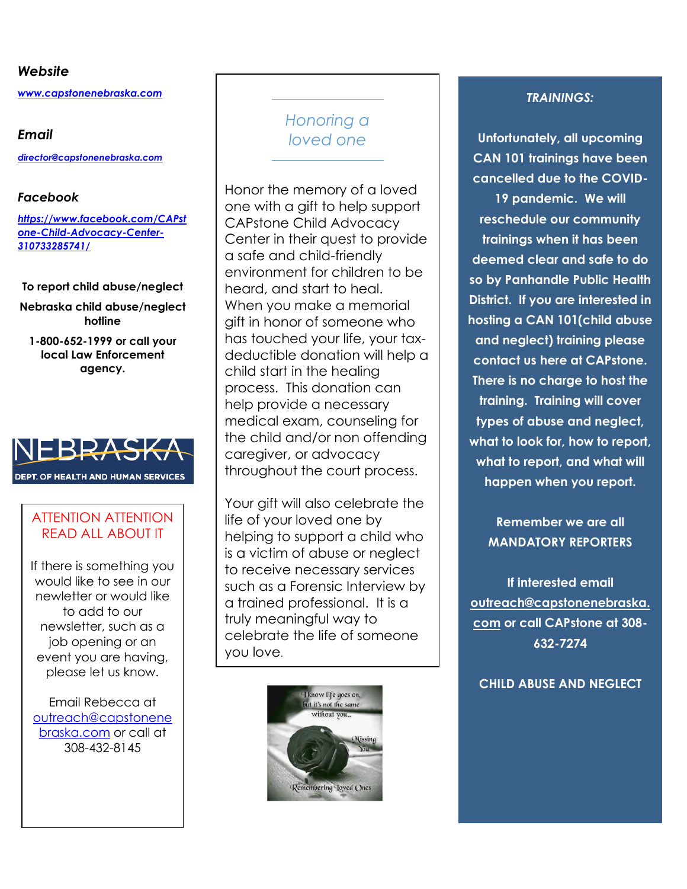#### *Website*

*[www.capstonenebraska.com](http://www.capstonenebraska.com/)*

#### *Email*

*[director@capstonenebraska.com](mailto:director@capstonenebraska.com)*

#### *Facebook*

*[https://www.facebook.com/CAPst](https://www.facebook.com/CAPstone-Child-Advocacy-Center-310733285741/) [one-Child-Advocacy-Center-](https://www.facebook.com/CAPstone-Child-Advocacy-Center-310733285741/)[310733285741/](https://www.facebook.com/CAPstone-Child-Advocacy-Center-310733285741/)*

#### **To report child abuse/neglect**

**Nebraska child abuse/neglect hotline**

**1-800-652-1999 or call your local Law Enforcement agency.**



### ATTENTION ATTENTION READ ALL ABOUT IT

If there is something you would like to see in our newletter or would like to add to our newsletter, such as a job opening or an event you are having, please let us know.

Email Rebecca at [outreach@capstonene](mailto:outreach@capstonenebraska.com) [braska.com](mailto:outreach@capstonenebraska.com) or call at 308-432-8145

# *Honoring a loved one*

Honor the memory of a loved one with a gift to help support CAPstone Child Advocacy Center in their quest to provide a safe and child-friendly environment for children to be heard, and start to heal. When you make a memorial gift in honor of someone who has touched your life, your taxdeductible donation will help a child start in the healing process. This donation can help provide a necessary medical exam, counseling for the child and/or non offending caregiver, or advocacy throughout the court process.

Your gift will also celebrate the life of your loved one by helping to support a child who is a victim of abuse or neglect to receive necessary services such as a Forensic Interview by a trained professional. It is a truly meaningful way to celebrate the life of someone you love.



#### *TRAININGS:*

**Unfortunately, all upcoming CAN 101 trainings have been cancelled due to the COVID-19 pandemic. We will reschedule our community trainings when it has been deemed clear and safe to do so by Panhandle Public Health District. If you are interested in hosting a CAN 101(child abuse and neglect) training please contact us here at CAPstone. There is no charge to host the training. Training will cover types of abuse and neglect, what to look for, how to report, what to report, and what will happen when you report.** 

# **Remember we are all MANDATORY REPORTERS**

**If interested email [outreach@capstonenebraska.](mailto:outreach@capstonenebraska.com) [com](mailto:outreach@capstonenebraska.com) or call CAPstone at 308- 632-7274**

**CHILD ABUSE AND NEGLECT**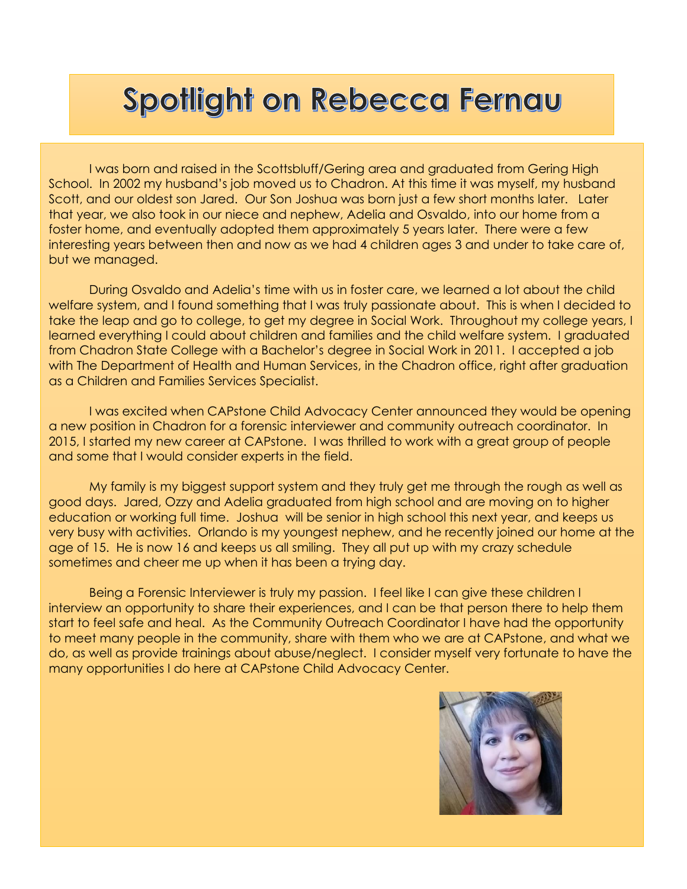# Spotlight on Rebecca Fernau

I was born and raised in the Scottsbluff/Gering area and graduated from Gering High School. In 2002 my husband's job moved us to Chadron. At this time it was myself, my husband Scott, and our oldest son Jared. Our Son Joshua was born just a few short months later. Later that year, we also took in our niece and nephew, Adelia and Osvaldo, into our home from a foster home, and eventually adopted them approximately 5 years later. There were a few interesting years between then and now as we had 4 children ages 3 and under to take care of, but we managed.

During Osvaldo and Adelia's time with us in foster care, we learned a lot about the child welfare system, and I found something that I was truly passionate about. This is when I decided to take the leap and go to college, to get my degree in Social Work. Throughout my college years, I learned everything I could about children and families and the child welfare system. I graduated from Chadron State College with a Bachelor's degree in Social Work in 2011. I accepted a job with The Department of Health and Human Services, in the Chadron office, right after graduation as a Children and Families Services Specialist.

I was excited when CAPstone Child Advocacy Center announced they would be opening a new position in Chadron for a forensic interviewer and community outreach coordinator. In 2015, I started my new career at CAPstone. I was thrilled to work with a great group of people and some that I would consider experts in the field.

My family is my biggest support system and they truly get me through the rough as well as good days. Jared, Ozzy and Adelia graduated from high school and are moving on to higher education or working full time. Joshua will be senior in high school this next year, and keeps us very busy with activities. Orlando is my youngest nephew, and he recently joined our home at the age of 15. He is now 16 and keeps us all smiling. They all put up with my crazy schedule sometimes and cheer me up when it has been a trying day.

Being a Forensic Interviewer is truly my passion. I feel like I can give these children I interview an opportunity to share their experiences, and I can be that person there to help them start to feel safe and heal. As the Community Outreach Coordinator I have had the opportunity to meet many people in the community, share with them who we are at CAPstone, and what we do, as well as provide trainings about abuse/neglect. I consider myself very fortunate to have the many opportunities I do here at CAPstone Child Advocacy Center.

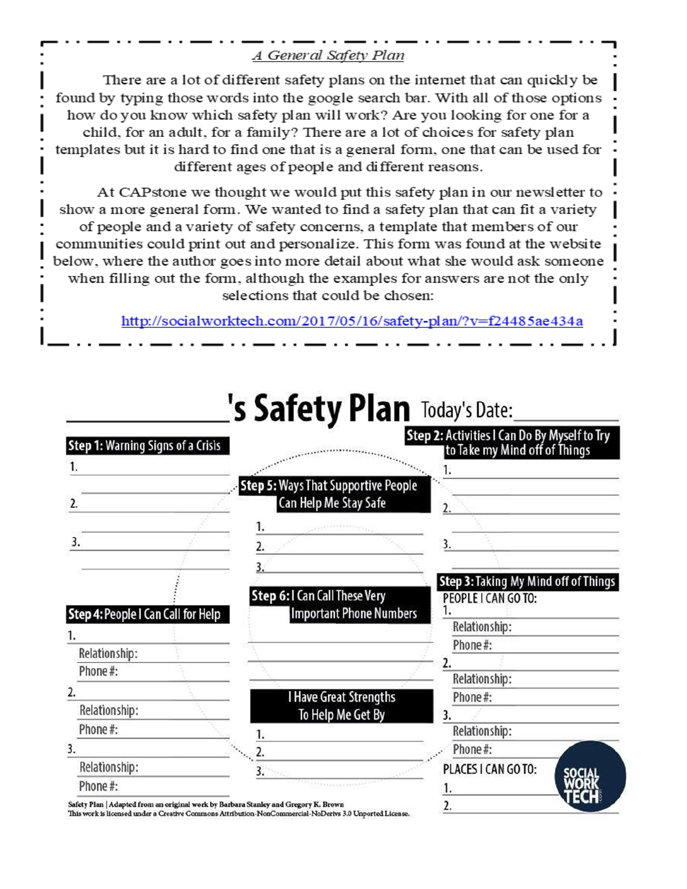# A General Safety Plan

There are a lot of different safety plans on the internet that can quickly be found by typing those words into the google search bar. With all of those options how do you know which safety plan will work? Are you looking for one for a child, for an adult, for a family? There are a lot of choices for safety plan templates but it is hard to find one that is a general form, one that can be used for different ages of people and different reasons.

At CAPstone we thought we would put this safety plan in our newsletter to show a more general form. We wanted to find a safety plan that can fit a variety of people and a variety of safety concerns, a template that members of our communities could print out and personalize. This form was found at the website below, where the author goes into more detail about what she would ask someone when filling out the form, although the examples for answers are not the only selections that could be chosen:

http://socialworktech.com/2017/05/16/safety-plan/?v=f24485ae434a

|                                                                                     | 's Safety Plan Today's Date:                                        |                                                                               |
|-------------------------------------------------------------------------------------|---------------------------------------------------------------------|-------------------------------------------------------------------------------|
| Step 1: Warning Signs of a Crisis                                                   |                                                                     | Step 2: Activities I Can Do By Myself to Try<br>to Take my Mind off of Things |
|                                                                                     |                                                                     |                                                                               |
| 2.                                                                                  | <b>Step 5: Ways That Supportive People</b><br>Can Help Me Stay Safe | 2.                                                                            |
|                                                                                     | ۱.                                                                  |                                                                               |
| 3.                                                                                  | 2.                                                                  |                                                                               |
|                                                                                     |                                                                     |                                                                               |
|                                                                                     | Step 6: I Can Call These Very                                       | Step 3: Taking My Mind off of Things<br>PEOPLE I CAN GO TO:                   |
| Step 4: People I Can Call for Help                                                  | <b>Important Phone Numbers</b>                                      | Relationship:                                                                 |
|                                                                                     |                                                                     | Phone#:                                                                       |
| Relationship:<br>Phone#:                                                            |                                                                     | 2.                                                                            |
| 2.                                                                                  |                                                                     | Relationship:                                                                 |
| Relationship:                                                                       | <b>I Have Great Strengths</b>                                       | Phone#:                                                                       |
| Phone#:                                                                             | To Help Me Get By                                                   | 3.<br>Relationship:                                                           |
| 3.                                                                                  | 2.                                                                  | Phone#:                                                                       |
| Relationship:                                                                       | 3.                                                                  | PLACES I CAN GO TO:                                                           |
| Phone#:                                                                             |                                                                     |                                                                               |
| Safety Plan   Adapted from an original work by Barbara Stanley and Gregory K. Brown |                                                                     |                                                                               |

This work is licensed under a Creative Commons Attribution-NonCommercial-NoDerivs 3.0 Unported License.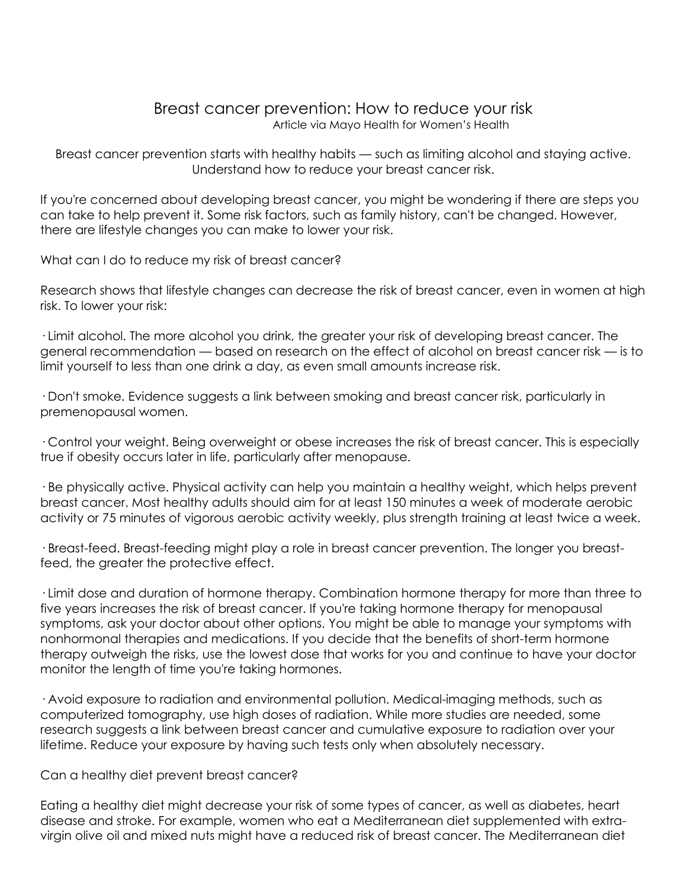#### Breast cancer prevention: How to reduce your risk Article via Mayo Health for Women's Health

Breast cancer prevention starts with healthy habits — such as limiting alcohol and staying active. Understand how to reduce your breast cancer risk.

If you're concerned about developing breast cancer, you might be wondering if there are steps you can take to help prevent it. Some risk factors, such as family history, can't be changed. However, there are lifestyle changes you can make to lower your risk.

What can I do to reduce my risk of breast cancer?

Research shows that lifestyle changes can decrease the risk of breast cancer, even in women at high risk. To lower your risk:

· Limit alcohol. The more alcohol you drink, the greater your risk of developing breast cancer. The general recommendation — based on research on the effect of alcohol on breast cancer risk — is to limit yourself to less than one drink a day, as even small amounts increase risk.

· Don't smoke. Evidence suggests a link between smoking and breast cancer risk, particularly in premenopausal women.

· Control your weight. Being overweight or obese increases the risk of breast cancer. This is especially true if obesity occurs later in life, particularly after menopause.

· Be physically active. Physical activity can help you maintain a healthy weight, which helps prevent breast cancer. Most healthy adults should aim for at least 150 minutes a week of moderate aerobic activity or 75 minutes of vigorous aerobic activity weekly, plus strength training at least twice a week.

· Breast-feed. Breast-feeding might play a role in breast cancer prevention. The longer you breastfeed, the greater the protective effect.

· Limit dose and duration of hormone therapy. Combination hormone therapy for more than three to five years increases the risk of breast cancer. If you're taking hormone therapy for menopausal symptoms, ask your doctor about other options. You might be able to manage your symptoms with nonhormonal therapies and medications. If you decide that the benefits of short-term hormone therapy outweigh the risks, use the lowest dose that works for you and continue to have your doctor monitor the length of time you're taking hormones.

· Avoid exposure to radiation and environmental pollution. Medical-imaging methods, such as computerized tomography, use high doses of radiation. While more studies are needed, some research suggests a link between breast cancer and cumulative exposure to radiation over your lifetime. Reduce your exposure by having such tests only when absolutely necessary.

Can a healthy diet prevent breast cancer?

Eating a healthy diet might decrease your risk of some types of cancer, as well as diabetes, heart disease and stroke. For example, women who eat a Mediterranean diet supplemented with extravirgin olive oil and mixed nuts might have a reduced risk of breast cancer. The Mediterranean diet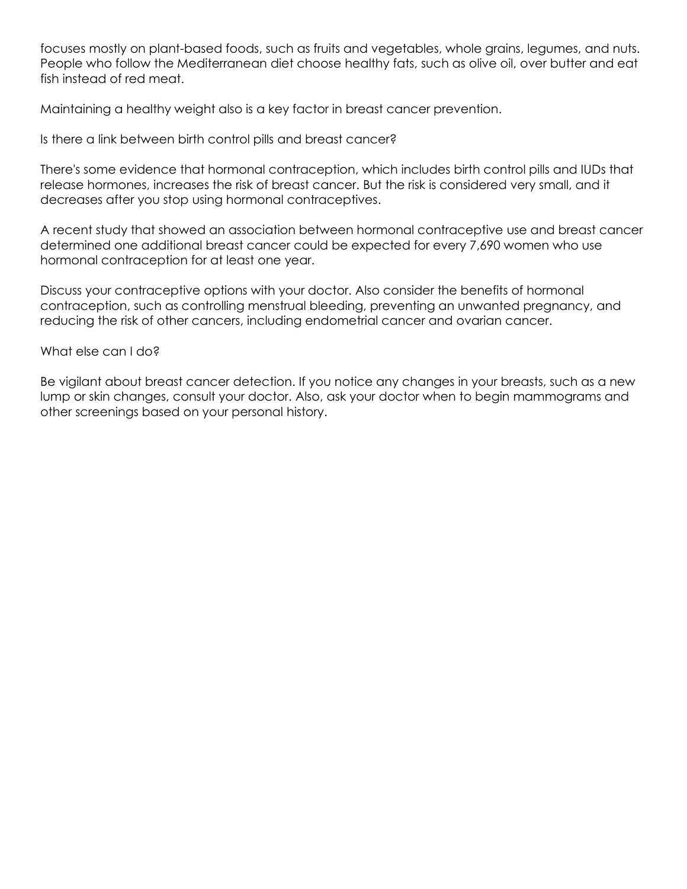focuses mostly on plant-based foods, such as fruits and vegetables, whole grains, legumes, and nuts. People who follow the Mediterranean diet choose healthy fats, such as olive oil, over butter and eat fish instead of red meat.

Maintaining a healthy weight also is a key factor in breast cancer prevention.

Is there a link between birth control pills and breast cancer?

There's some evidence that hormonal contraception, which includes birth control pills and IUDs that release hormones, increases the risk of breast cancer. But the risk is considered very small, and it decreases after you stop using hormonal contraceptives.

A recent study that showed an association between hormonal contraceptive use and breast cancer determined one additional breast cancer could be expected for every 7,690 women who use hormonal contraception for at least one year.

Discuss your contraceptive options with your doctor. Also consider the benefits of hormonal contraception, such as controlling menstrual bleeding, preventing an unwanted pregnancy, and reducing the risk of other cancers, including endometrial cancer and ovarian cancer.

#### What else can I do?

Be vigilant about breast cancer detection. If you notice any changes in your breasts, such as a new lump or skin changes, consult your doctor. Also, ask your doctor when to begin mammograms and other screenings based on your personal history.